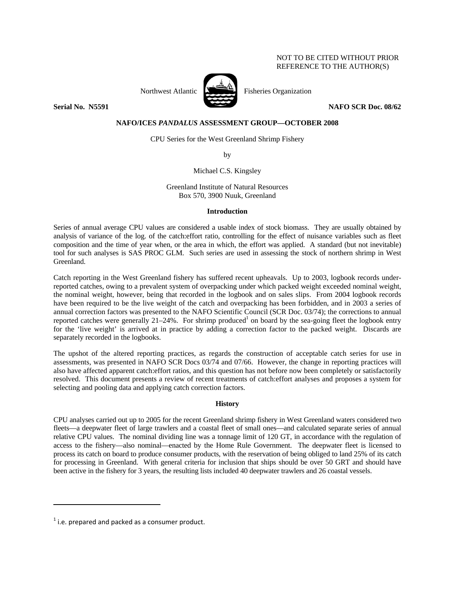# NOT TO BE CITED WITHOUT PRIOR REFERENCE TO THE AUTHOR(S)



Northwest Atlantic **No. 1989** Fisheries Organization

**Serial No. 35591** NAFO SCR Doc. 08/62

# **NAFO/ICES** *PANDALUS* **ASSESSMENT GROUP—OCTOBER 2008**

CPU Series for the West Greenland Shrimp Fishery

by

Michael C.S. Kingsley

Greenland Institute of Natural Resources Box 570, 3900 Nuuk, Greenland

## **Introduction**

Series of annual average CPU values are considered a usable index of stock biomass. They are usually obtained by analysis of variance of the log. of the catch:effort ratio, controlling for the effect of nuisance variables such as fleet composition and the time of year when, or the area in which, the effort was applied. A standard (but not inevitable) tool for such analyses is SAS PROC GLM. Such series are used in assessing the stock of northern shrimp in West Greenland.

Catch reporting in the West Greenland fishery has suffered recent upheavals. Up to 2003, logbook records underreported catches, owing to a prevalent system of overpacking under which packed weight exceeded nominal weight, the nominal weight, however, being that recorded in the logbook and on sales slips. From 2004 logbook records have been required to be the live weight of the catch and overpacking has been forbidden, and in 2003 a series of annual correction factors was presented to the NAFO Scientific Council (SCR Doc. 03/74); the corrections to annual reported catches were generally 21–24%. For shrimp produced<sup>1</sup> on board by the sea-going fleet the logbook entry for the 'live weight' is arrived at in practice by adding a correction factor to the packed weight. Discards are separately recorded in the logbooks.

The upshot of the altered reporting practices, as regards the construction of acceptable catch series for use in assessments, was presented in NAFO SCR Docs 03/74 and 07/66. However, the change in reporting practices will also have affected apparent catch:effort ratios, and this question has not before now been completely or satisfactorily resolved. This document presents a review of recent treatments of catch:effort analyses and proposes a system for selecting and pooling data and applying catch correction factors.

## **History**

CPU analyses carried out up to 2005 for the recent Greenland shrimp fishery in West Greenland waters considered two fleets—a deepwater fleet of large trawlers and a coastal fleet of small ones—and calculated separate series of annual relative CPU values. The nominal dividing line was a tonnage limit of 120 GT, in accordance with the regulation of access to the fishery—also nominal—enacted by the Home Rule Government. The deepwater fleet is licensed to process its catch on board to produce consumer products, with the reservation of being obliged to land 25% of its catch for processing in Greenland. With general criteria for inclusion that ships should be over 50 GRT and should have been active in the fishery for 3 years, the resulting lists included 40 deepwater trawlers and 26 coastal vessels.

 $1$  i.e. prepared and packed as a consumer product.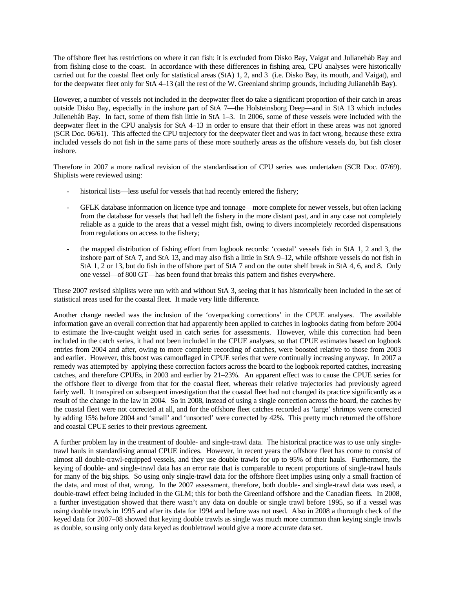The offshore fleet has restrictions on where it can fish: it is excluded from Disko Bay, Vaigat and Julianehåb Bay and from fishing close to the coast. In accordance with these differences in fishing area, CPU analyses were historically carried out for the coastal fleet only for statistical areas (StA) 1, 2, and 3 (i.e. Disko Bay, its mouth, and Vaigat), and for the deepwater fleet only for StA 4–13 (all the rest of the W. Greenland shrimp grounds, including Julianehåb Bay).

However, a number of vessels not included in the deepwater fleet do take a significant proportion of their catch in areas outside Disko Bay, especially in the inshore part of StA 7—the Holsteinsborg Deep—and in StA 13 which includes Julienehåb Bay. In fact, some of them fish little in StA 1–3. In 2006, some of these vessels were included with the deepwater fleet in the CPU analysis for StA 4–13 in order to ensure that their effort in these areas was not ignored (SCR Doc. 06/61). This affected the CPU trajectory for the deepwater fleet and was in fact wrong, because these extra included vessels do not fish in the same parts of these more southerly areas as the offshore vessels do, but fish closer inshore.

Therefore in 2007 a more radical revision of the standardisation of CPU series was undertaken (SCR Doc. 07/69). Shiplists were reviewed using:

- historical lists—less useful for vessels that had recently entered the fishery;
- GFLK database information on licence type and tonnage—more complete for newer vessels, but often lacking from the database for vessels that had left the fishery in the more distant past, and in any case not completely reliable as a guide to the areas that a vessel might fish, owing to divers incompletely recorded dispensations from regulations on access to the fishery;
- the mapped distribution of fishing effort from logbook records: 'coastal' vessels fish in StA 1, 2 and 3, the inshore part of StA 7, and StA 13, and may also fish a little in StA 9–12, while offshore vessels do not fish in StA 1, 2 or 13, but do fish in the offshore part of StA 7 and on the outer shelf break in StA 4, 6, and 8. Only one vessel—of 800 GT—has been found that breaks this pattern and fishes everywhere.

These 2007 revised shiplists were run with and without StA 3, seeing that it has historically been included in the set of statistical areas used for the coastal fleet. It made very little difference.

Another change needed was the inclusion of the 'overpacking corrections' in the CPUE analyses. The available information gave an overall correction that had apparently been applied to catches in logbooks dating from before 2004 to estimate the live-caught weight used in catch series for assessments. However, while this correction had been included in the catch series, it had not been included in the CPUE analyses, so that CPUE estimates based on logbook entries from 2004 and after, owing to more complete recording of catches, were boosted relative to those from 2003 and earlier. However, this boost was camouflaged in CPUE series that were continually increasing anyway. In 2007 a remedy was attempted by applying these correction factors across the board to the logbook reported catches, increasing catches, and therefore CPUEs, in 2003 and earlier by 21–23%. An apparent effect was to cause the CPUE series for the offshore fleet to diverge from that for the coastal fleet, whereas their relative trajectories had previously agreed fairly well. It transpired on subsequent investigation that the coastal fleet had not changed its practice significantly as a result of the change in the law in 2004. So in 2008, instead of using a single correction across the board, the catches by the coastal fleet were not corrected at all, and for the offshore fleet catches recorded as 'large' shrimps were corrected by adding 15% before 2004 and 'small' and 'unsorted' were corrected by 42%. This pretty much returned the offshore and coastal CPUE series to their previous agreement.

A further problem lay in the treatment of double- and single-trawl data. The historical practice was to use only singletrawl hauls in standardising annual CPUE indices. However, in recent years the offshore fleet has come to consist of almost all double-trawl-equipped vessels, and they use double trawls for up to 95% of their hauls. Furthermore, the keying of double- and single-trawl data has an error rate that is comparable to recent proportions of single-trawl hauls for many of the big ships. So using only single-trawl data for the offshore fleet implies using only a small fraction of the data, and most of that, wrong. In the 2007 assessment, therefore, both double- and single-trawl data was used, a double-trawl effect being included in the GLM; this for both the Greenland offshore and the Canadian fleets. In 2008, a further investigation showed that there wasn't any data on double or single trawl before 1995, so if a vessel was using double trawls in 1995 and after its data for 1994 and before was not used. Also in 2008 a thorough check of the keyed data for 2007–08 showed that keying double trawls as single was much more common than keying single trawls as double, so using only only data keyed as doubletrawl would give a more accurate data set.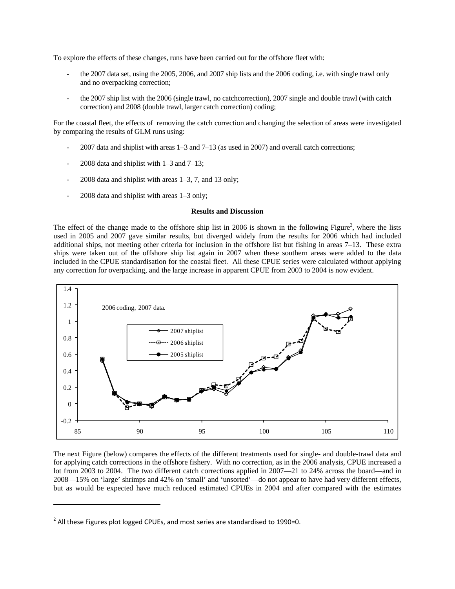To explore the effects of these changes, runs have been carried out for the offshore fleet with:

- the 2007 data set, using the 2005, 2006, and 2007 ship lists and the 2006 coding, i.e. with single trawl only and no overpacking correction;
- the 2007 ship list with the 2006 (single trawl, no catchcorrection), 2007 single and double trawl (with catch correction) and 2008 (double trawl, larger catch correction) coding;

For the coastal fleet, the effects of removing the catch correction and changing the selection of areas were investigated by comparing the results of GLM runs using:

- 2007 data and shiplist with areas 1–3 and 7–13 (as used in 2007) and overall catch corrections;
- 2008 data and shiplist with  $1-3$  and  $7-13$ ;
- $2008$  data and shiplist with areas  $1-3$ , 7, and 13 only;
- 2008 data and shiplist with areas 1–3 only;

### **Results and Discussion**

The effect of the change made to the offshore ship list in 2006 is shown in the following Figure<sup>2</sup>, where the lists used in 2005 and 2007 gave similar results, but diverged widely from the results for 2006 which had included additional ships, not meeting other criteria for inclusion in the offshore list but fishing in areas 7–13. These extra ships were taken out of the offshore ship list again in 2007 when these southern areas were added to the data included in the CPUE standardisation for the coastal fleet. All these CPUE series were calculated without applying any correction for overpacking, and the large increase in apparent CPUE from 2003 to 2004 is now evident.



The next Figure (below) compares the effects of the different treatments used for single- and double-trawl data and for applying catch corrections in the offshore fishery. With no correction, as in the 2006 analysis, CPUE increased a lot from 2003 to 2004. The two different catch corrections applied in 2007—21 to 24% across the board—and in 2008—15% on 'large' shrimps and 42% on 'small' and 'unsorted'—do not appear to have had very different effects, but as would be expected have much reduced estimated CPUEs in 2004 and after compared with the estimates

 $2$  All these Figures plot logged CPUEs, and most series are standardised to 1990=0.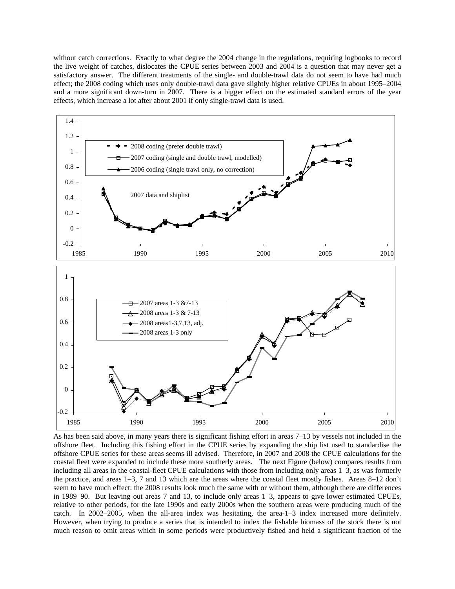without catch corrections. Exactly to what degree the 2004 change in the regulations, requiring logbooks to record the live weight of catches, dislocates the CPUE series between 2003 and 2004 is a question that may never get a satisfactory answer. The different treatments of the single- and double-trawl data do not seem to have had much effect; the 2008 coding which uses only double-trawl data gave slightly higher relative CPUEs in about 1995–2004 and a more significant down-turn in 2007. There is a bigger effect on the estimated standard errors of the year effects, which increase a lot after about 2001 if only single-trawl data is used.



As has been said above, in many years there is significant fishing effort in areas 7–13 by vessels not included in the offshore fleet. Including this fishing effort in the CPUE series by expanding the ship list used to standardise the offshore CPUE series for these areas seems ill advised. Therefore, in 2007 and 2008 the CPUE calculations for the coastal fleet were expanded to include these more southerly areas. The next Figure (below) compares results from including all areas in the coastal-fleet CPUE calculations with those from including only areas 1–3, as was formerly the practice, and areas 1–3, 7 and 13 which are the areas where the coastal fleet mostly fishes. Areas 8–12 don't seem to have much effect: the 2008 results look much the same with or without them, although there are differences in 1989–90. But leaving out areas 7 and 13, to include only areas 1–3, appears to give lower estimated CPUEs, relative to other periods, for the late 1990s and early 2000s when the southern areas were producing much of the catch. In 2002–2005, when the all-area index was hesitating, the area-1–3 index increased more definitely. However, when trying to produce a series that is intended to index the fishable biomass of the stock there is not much reason to omit areas which in some periods were productively fished and held a significant fraction of the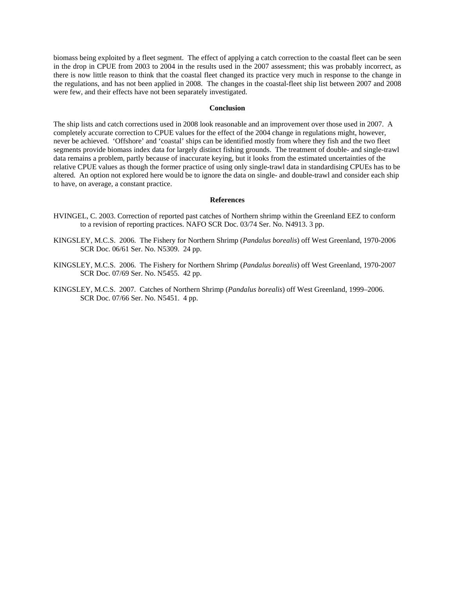biomass being exploited by a fleet segment. The effect of applying a catch correction to the coastal fleet can be seen in the drop in CPUE from 2003 to 2004 in the results used in the 2007 assessment; this was probably incorrect, as there is now little reason to think that the coastal fleet changed its practice very much in response to the change in the regulations, and has not been applied in 2008. The changes in the coastal-fleet ship list between 2007 and 2008 were few, and their effects have not been separately investigated.

#### **Conclusion**

The ship lists and catch corrections used in 2008 look reasonable and an improvement over those used in 2007. A completely accurate correction to CPUE values for the effect of the 2004 change in regulations might, however, never be achieved. 'Offshore' and 'coastal' ships can be identified mostly from where they fish and the two fleet segments provide biomass index data for largely distinct fishing grounds. The treatment of double- and single-trawl data remains a problem, partly because of inaccurate keying, but it looks from the estimated uncertainties of the relative CPUE values as though the former practice of using only single-trawl data in standardising CPUEs has to be altered. An option not explored here would be to ignore the data on single- and double-trawl and consider each ship to have, on average, a constant practice.

### **References**

- HVINGEL, C. 2003. Correction of reported past catches of Northern shrimp within the Greenland EEZ to conform to a revision of reporting practices. NAFO SCR Doc. 03/74 Ser. No. N4913. 3 pp.
- KINGSLEY, M.C.S. 2006. The Fishery for Northern Shrimp (*Pandalus borealis*) off West Greenland, 1970-2006 SCR Doc. 06/61 Ser. No. N5309. 24 pp.
- KINGSLEY, M.C.S. 2006. The Fishery for Northern Shrimp (*Pandalus borealis*) off West Greenland, 1970-2007 SCR Doc. 07/69 Ser. No. N5455. 42 pp.
- KINGSLEY, M.C.S. 2007. Catches of Northern Shrimp (*Pandalus borealis*) off West Greenland, 1999–2006. SCR Doc. 07/66 Ser. No. N5451. 4 pp.